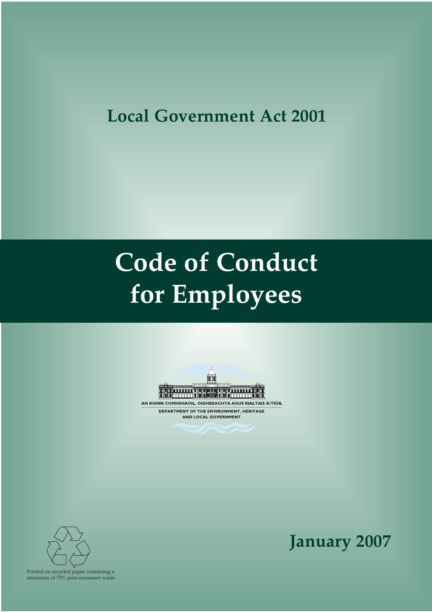# **Local Government Act 2001**

# **Code of Conduct for Employees**



AN ROINN COMHSHAOIL, OIDHREACHTA AGUS RIALTAIS ÁITIÚIL DEPARTMENT OF THE ENVIRONMENT, HERITAGE AND LOCAL GOVERNMENT



**January 2007**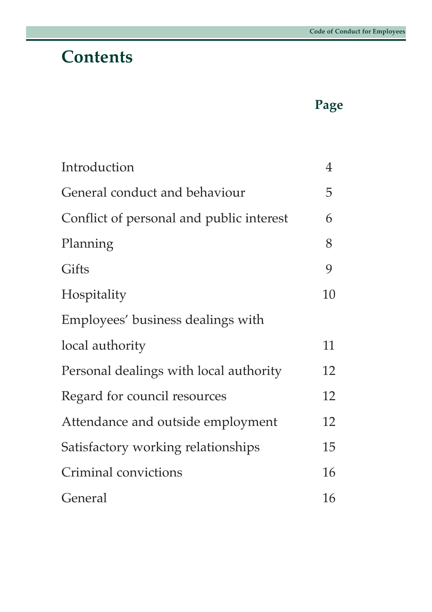## **Contents**

## **Page**

| Introduction                             | $\overline{4}$ |
|------------------------------------------|----------------|
| General conduct and behaviour            | 5              |
| Conflict of personal and public interest | 6              |
| Planning                                 | 8              |
| Gifts                                    | 9              |
| Hospitality                              | 10             |
| Employees' business dealings with        |                |
| local authority                          | 11             |
| Personal dealings with local authority   | 12             |
| Regard for council resources             | 12             |
| Attendance and outside employment        | 12             |
| Satisfactory working relationships       | 15             |
| Criminal convictions                     | 16             |
| General                                  | 16             |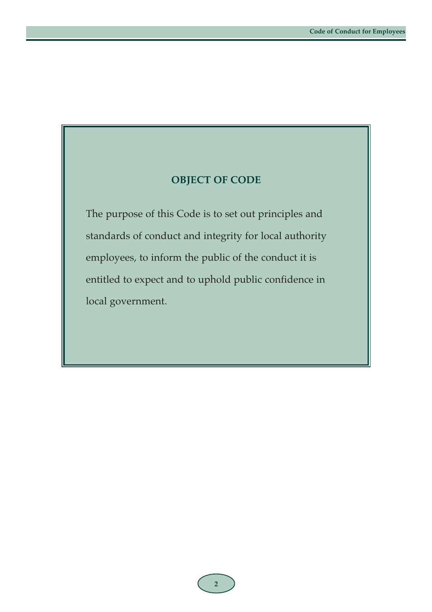#### **OBJECT OF CODE**

The purpose of this Code is to set out principles and standards of conduct and integrity for local authority employees, to inform the public of the conduct it is entitled to expect and to uphold public confidence in local government.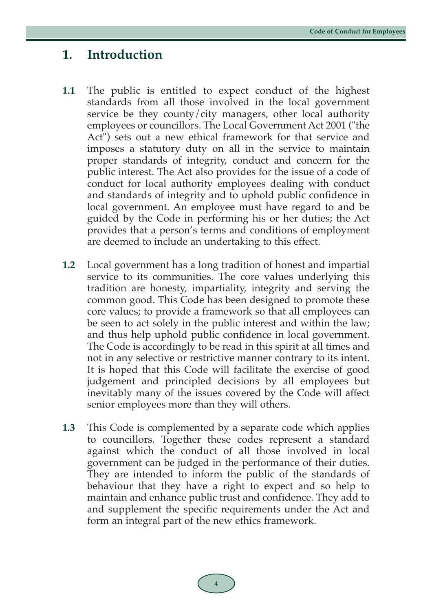#### **1. Introduction**

- **1.1** The public is entitled to expect conduct of the highest standards from all those involved in the local government service be they county/city managers, other local authority employees or councillors. The Local Government Act 2001 ("the Act") sets out a new ethical framework for that service and imposes a statutory duty on all in the service to maintain proper standards of integrity, conduct and concern for the public interest. The Act also provides for the issue of a code of conduct for local authority employees dealing with conduct and standards of integrity and to uphold public confidence in local government. An employee must have regard to and be guided by the Code in performing his or her duties; the Act provides that a person's terms and conditions of employment are deemed to include an undertaking to this effect.
- **1.2** Local government has a long tradition of honest and impartial service to its communities. The core values underlying this tradition are honesty, impartiality, integrity and serving the common good. This Code has been designed to promote these core values; to provide a framework so that all employees can be seen to act solely in the public interest and within the law; and thus help uphold public confidence in local government. The Code is accordingly to be read in this spirit at all times and not in any selective or restrictive manner contrary to its intent. It is hoped that this Code will facilitate the exercise of good judgement and principled decisions by all employees but inevitably many of the issues covered by the Code will affect senior employees more than they will others.
- **1.3** This Code is complemented by a separate code which applies to councillors. Together these codes represent a standard against which the conduct of all those involved in local government can be judged in the performance of their duties. They are intended to inform the public of the standards of behaviour that they have a right to expect and so help to maintain and enhance public trust and confidence. They add to and supplement the specific requirements under the Act and form an integral part of the new ethics framework.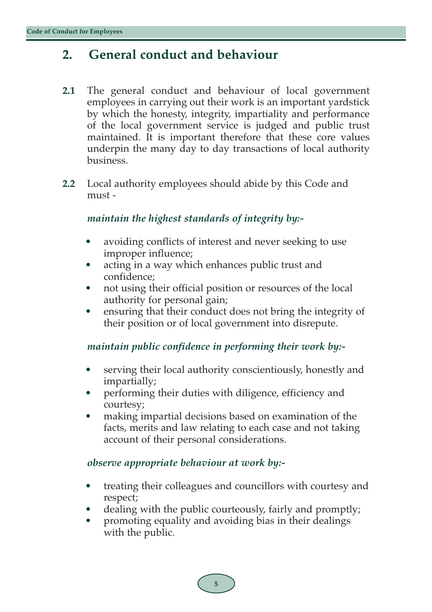### **2. General conduct and behaviour**

- **2.1** The general conduct and behaviour of local government employees in carrying out their work is an important yardstick by which the honesty, integrity, impartiality and performance of the local government service is judged and public trust maintained. It is important therefore that these core values underpin the many day to day transactions of local authority business.
- **2.2** Local authority employees should abide by this Code and must -

#### *maintain the highest standards of integrity by:-*

- avoiding conflicts of interest and never seeking to use improper influence;
- acting in a way which enhances public trust and confidence;
- not using their official position or resources of the local authority for personal gain;
- ensuring that their conduct does not bring the integrity of their position or of local government into disrepute.

#### *maintain public confidence in performing their work by:-*

- serving their local authority conscientiously, honestly and impartially;
- performing their duties with diligence, efficiency and courtesy;
- making impartial decisions based on examination of the facts, merits and law relating to each case and not taking account of their personal considerations.

#### *observe appropriate behaviour at work by:-*

- treating their colleagues and councillors with courtesy and respect;
- dealing with the public courteously, fairly and promptly;
- promoting equality and avoiding bias in their dealings with the public.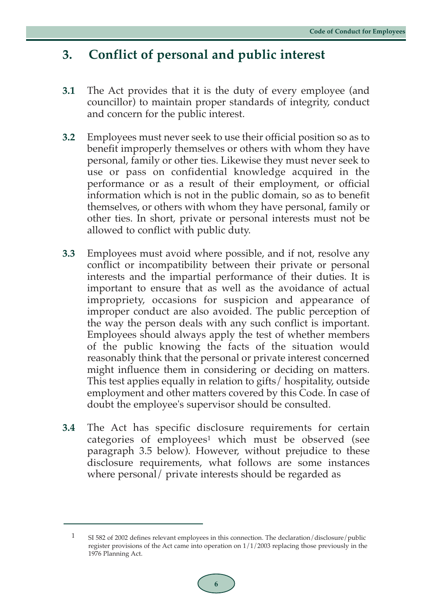### **3. Conflict of personal and public interest**

- **3.1** The Act provides that it is the duty of every employee (and councillor) to maintain proper standards of integrity, conduct and concern for the public interest.
- **3.2** Employees must never seek to use their official position so as to benefit improperly themselves or others with whom they have personal, family or other ties. Likewise they must never seek to use or pass on confidential knowledge acquired in the performance or as a result of their employment, or official information which is not in the public domain, so as to benefit themselves, or others with whom they have personal, family or other ties. In short, private or personal interests must not be allowed to conflict with public duty.
- **3.3** Employees must avoid where possible, and if not, resolve any conflict or incompatibility between their private or personal interests and the impartial performance of their duties. It is important to ensure that as well as the avoidance of actual impropriety, occasions for suspicion and appearance of improper conduct are also avoided. The public perception of the way the person deals with any such conflict is important. Employees should always apply the test of whether members of the public knowing the facts of the situation would reasonably think that the personal or private interest concerned might influence them in considering or deciding on matters. This test applies equally in relation to gifts/ hospitality, outside employment and other matters covered by this Code. In case of doubt the employee's supervisor should be consulted.
- **3.4** The Act has specific disclosure requirements for certain categories of employees<sup>1</sup> which must be observed (see paragraph 3.5 below). However, without prejudice to these disclosure requirements, what follows are some instances where personal/ private interests should be regarded as

<sup>1</sup> SI 582 of 2002 defines relevant employees in this connection. The declaration/disclosure/public register provisions of the Act came into operation on  $1/1/2003$  replacing those previously in the 1976 Planning Act.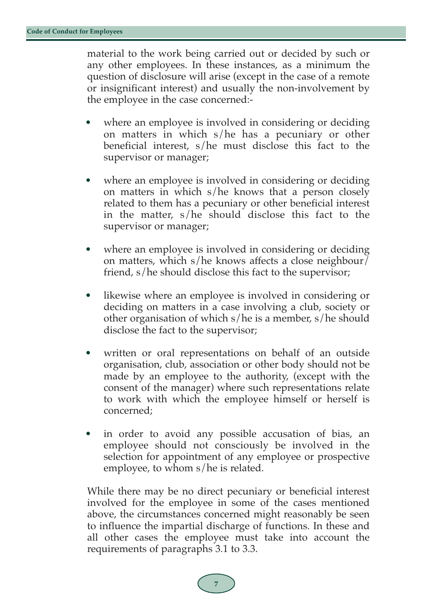material to the work being carried out or decided by such or any other employees. In these instances, as a minimum the question of disclosure will arise (except in the case of a remote or insignificant interest) and usually the non-involvement by the employee in the case concerned:-

- where an employee is involved in considering or deciding on matters in which s/he has a pecuniary or other beneficial interest, s/he must disclose this fact to the supervisor or manager;
- where an employee is involved in considering or deciding on matters in which s/he knows that a person closely related to them has a pecuniary or other beneficial interest in the matter, s/he should disclose this fact to the supervisor or manager;
- where an employee is involved in considering or deciding on matters, which s/he knows affects a close neighbour/ friend, s/he should disclose this fact to the supervisor;
- likewise where an employee is involved in considering or deciding on matters in a case involving a club, society or other organisation of which s/he is a member, s/he should disclose the fact to the supervisor;
- written or oral representations on behalf of an outside organisation, club, association or other body should not be made by an employee to the authority, (except with the consent of the manager) where such representations relate to work with which the employee himself or herself is concerned;
- in order to avoid any possible accusation of bias, an employee should not consciously be involved in the selection for appointment of any employee or prospective employee, to whom s/he is related.

While there may be no direct pecuniary or beneficial interest involved for the employee in some of the cases mentioned above, the circumstances concerned might reasonably be seen to influence the impartial discharge of functions. In these and all other cases the employee must take into account the requirements of paragraphs 3.1 to 3.3.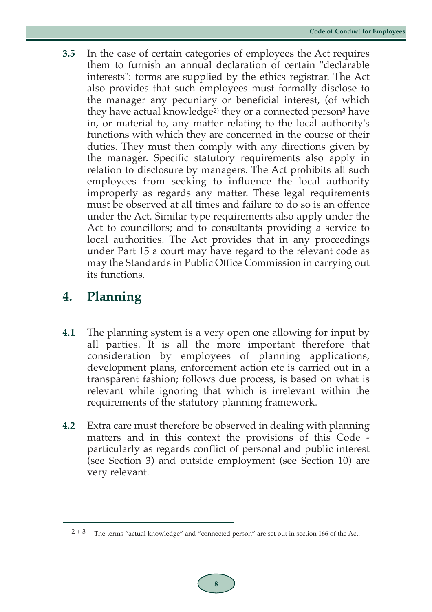**3.5** In the case of certain categories of employees the Act requires them to furnish an annual declaration of certain "declarable interests": forms are supplied by the ethics registrar. The Act also provides that such employees must formally disclose to the manager any pecuniary or beneficial interest, (of which they have actual knowledge2) they or a connected person3 have in, or material to, any matter relating to the local authority's functions with which they are concerned in the course of their duties. They must then comply with any directions given by the manager. Specific statutory requirements also apply in relation to disclosure by managers. The Act prohibits all such employees from seeking to influence the local authority improperly as regards any matter. These legal requirements must be observed at all times and failure to do so is an offence under the Act. Similar type requirements also apply under the Act to councillors; and to consultants providing a service to local authorities. The Act provides that in any proceedings under Part 15 a court may have regard to the relevant code as may the Standards in Public Office Commission in carrying out its functions.

## **4. Planning**

- **4.1** The planning system is a very open one allowing for input by all parties. It is all the more important therefore that consideration by employees of planning applications, development plans, enforcement action etc is carried out in a transparent fashion; follows due process, is based on what is relevant while ignoring that which is irrelevant within the requirements of the statutory planning framework.
- **4.2** Extra care must therefore be observed in dealing with planning matters and in this context the provisions of this Code particularly as regards conflict of personal and public interest (see Section 3) and outside employment (see Section 10) are very relevant.

 $2 + 3$  The terms "actual knowledge" and "connected person" are set out in section 166 of the Act.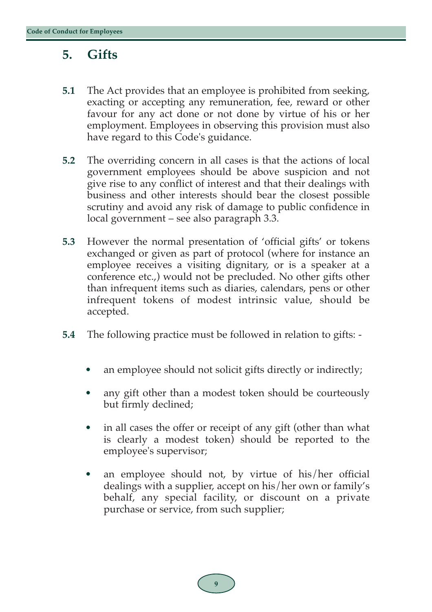### **5. Gifts**

- **5.1** The Act provides that an employee is prohibited from seeking, exacting or accepting any remuneration, fee, reward or other favour for any act done or not done by virtue of his or her employment. Employees in observing this provision must also have regard to this Code's guidance.
- **5.2** The overriding concern in all cases is that the actions of local government employees should be above suspicion and not give rise to any conflict of interest and that their dealings with business and other interests should bear the closest possible scrutiny and avoid any risk of damage to public confidence in local government – see also paragraph 3.3.
- **5.3** However the normal presentation of 'official gifts' or tokens exchanged or given as part of protocol (where for instance an employee receives a visiting dignitary, or is a speaker at a conference etc.,) would not be precluded. No other gifts other than infrequent items such as diaries, calendars, pens or other infrequent tokens of modest intrinsic value, should be accepted.
- **5.4** The following practice must be followed in relation to gifts:
	- an employee should not solicit gifts directly or indirectly;
	- any gift other than a modest token should be courteously but firmly declined;
	- in all cases the offer or receipt of any gift (other than what is clearly a modest token) should be reported to the employee's supervisor;
	- an employee should not, by virtue of his/her official dealings with a supplier, accept on his/her own or family's behalf, any special facility, or discount on a private purchase or service, from such supplier;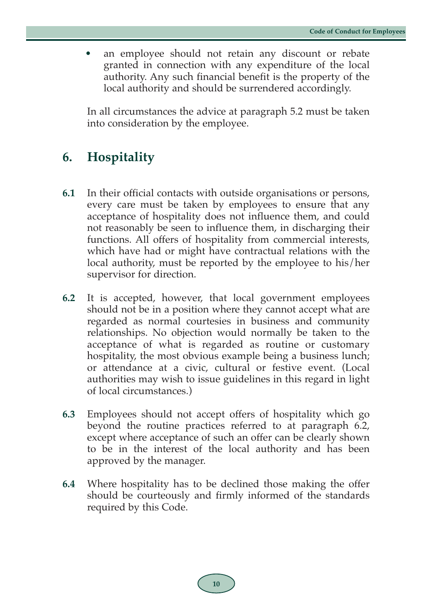an employee should not retain any discount or rebate granted in connection with any expenditure of the local authority. Any such financial benefit is the property of the local authority and should be surrendered accordingly.

In all circumstances the advice at paragraph 5.2 must be taken into consideration by the employee.

## **6. Hospitality**

- **6.1** In their official contacts with outside organisations or persons, every care must be taken by employees to ensure that any acceptance of hospitality does not influence them, and could not reasonably be seen to influence them, in discharging their functions. All offers of hospitality from commercial interests, which have had or might have contractual relations with the local authority, must be reported by the employee to his/her supervisor for direction.
- **6.2** It is accepted, however, that local government employees should not be in a position where they cannot accept what are regarded as normal courtesies in business and community relationships. No objection would normally be taken to the acceptance of what is regarded as routine or customary hospitality, the most obvious example being a business lunch; or attendance at a civic, cultural or festive event. (Local authorities may wish to issue guidelines in this regard in light of local circumstances.)
- **6.3** Employees should not accept offers of hospitality which go beyond the routine practices referred to at paragraph 6.2, except where acceptance of such an offer can be clearly shown to be in the interest of the local authority and has been approved by the manager.
- **6.4** Where hospitality has to be declined those making the offer should be courteously and firmly informed of the standards required by this Code.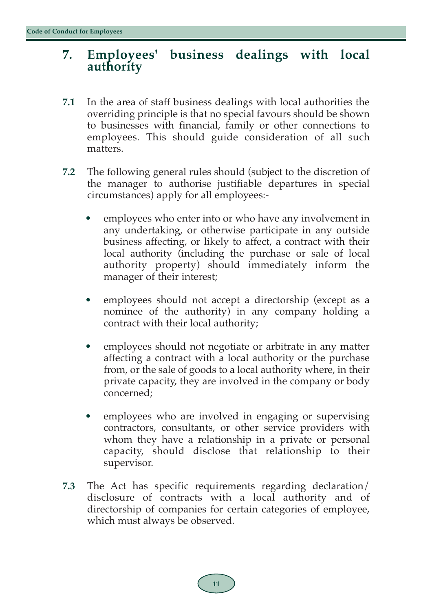# **7. Employees' business dealings with local authority**

- **7.1** In the area of staff business dealings with local authorities the overriding principle is that no special favours should be shown to businesses with financial, family or other connections to employees. This should guide consideration of all such matters.
- **7.2** The following general rules should (subject to the discretion of the manager to authorise justifiable departures in special circumstances) apply for all employees:
	- employees who enter into or who have any involvement in any undertaking, or otherwise participate in any outside business affecting, or likely to affect, a contract with their local authority (including the purchase or sale of local authority property) should immediately inform the manager of their interest;
	- employees should not accept a directorship (except as a nominee of the authority) in any company holding a contract with their local authority;
	- employees should not negotiate or arbitrate in any matter affecting a contract with a local authority or the purchase from, or the sale of goods to a local authority where, in their private capacity, they are involved in the company or body concerned;
	- employees who are involved in engaging or supervising contractors, consultants, or other service providers with whom they have a relationship in a private or personal capacity, should disclose that relationship to their supervisor.
- **7.3** The Act has specific requirements regarding declaration/ disclosure of contracts with a local authority and of directorship of companies for certain categories of employee, which must always be observed.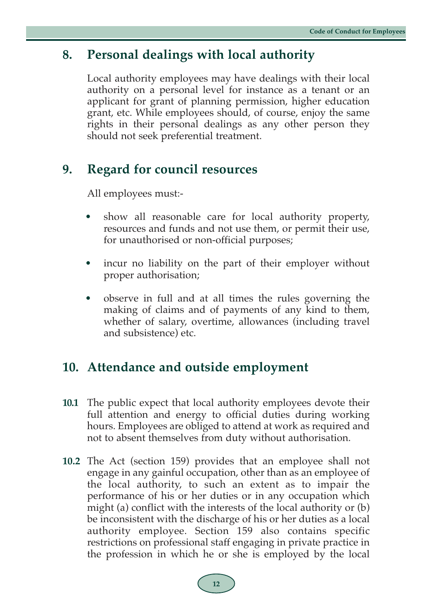### **8. Personal dealings with local authority**

Local authority employees may have dealings with their local authority on a personal level for instance as a tenant or an applicant for grant of planning permission, higher education grant, etc. While employees should, of course, enjoy the same rights in their personal dealings as any other person they should not seek preferential treatment.

### **9. Regard for council resources**

All employees must:-

- show all reasonable care for local authority property, resources and funds and not use them, or permit their use, for unauthorised or non-official purposes;
- incur no liability on the part of their employer without proper authorisation;
- observe in full and at all times the rules governing the making of claims and of payments of any kind to them, whether of salary, overtime, allowances (including travel and subsistence) etc.

#### **10. Attendance and outside employment**

- **10.1** The public expect that local authority employees devote their full attention and energy to official duties during working hours. Employees are obliged to attend at work as required and not to absent themselves from duty without authorisation.
- **10.2** The Act (section 159) provides that an employee shall not engage in any gainful occupation, other than as an employee of the local authority, to such an extent as to impair the performance of his or her duties or in any occupation which might (a) conflict with the interests of the local authority or (b) be inconsistent with the discharge of his or her duties as a local authority employee. Section 159 also contains specific restrictions on professional staff engaging in private practice in the profession in which he or she is employed by the local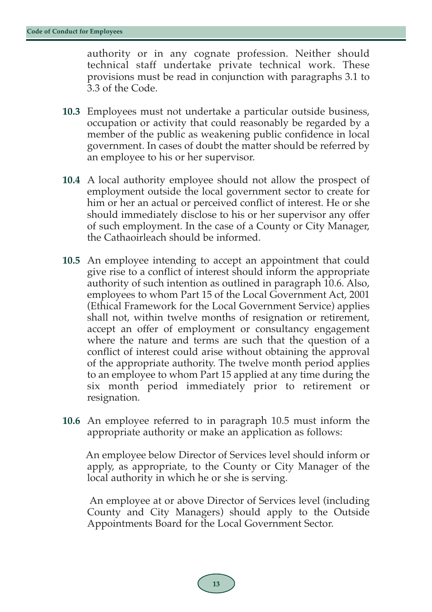authority or in any cognate profession. Neither should technical staff undertake private technical work. These provisions must be read in conjunction with paragraphs 3.1 to 3.3 of the Code.

- **10.3** Employees must not undertake a particular outside business, occupation or activity that could reasonably be regarded by a member of the public as weakening public confidence in local government. In cases of doubt the matter should be referred by an employee to his or her supervisor.
- **10.4** A local authority employee should not allow the prospect of employment outside the local government sector to create for him or her an actual or perceived conflict of interest. He or she should immediately disclose to his or her supervisor any offer of such employment. In the case of a County or City Manager, the Cathaoirleach should be informed.
- **10.5** An employee intending to accept an appointment that could give rise to a conflict of interest should inform the appropriate authority of such intention as outlined in paragraph 10.6. Also, employees to whom Part 15 of the Local Government Act, 2001 (Ethical Framework for the Local Government Service) applies shall not, within twelve months of resignation or retirement, accept an offer of employment or consultancy engagement where the nature and terms are such that the question of a conflict of interest could arise without obtaining the approval of the appropriate authority. The twelve month period applies to an employee to whom Part 15 applied at any time during the six month period immediately prior to retirement or resignation.
- **10.6** An employee referred to in paragraph 10.5 must inform the appropriate authority or make an application as follows:

An employee below Director of Services level should inform or apply, as appropriate, to the County or City Manager of the local authority in which he or she is serving.

An employee at or above Director of Services level (including County and City Managers) should apply to the Outside Appointments Board for the Local Government Sector.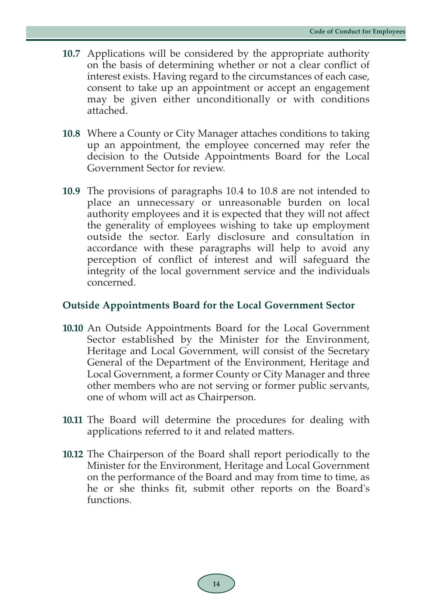- **10.7** Applications will be considered by the appropriate authority on the basis of determining whether or not a clear conflict of interest exists. Having regard to the circumstances of each case, consent to take up an appointment or accept an engagement may be given either unconditionally or with conditions attached.
- **10.8** Where a County or City Manager attaches conditions to taking up an appointment, the employee concerned may refer the decision to the Outside Appointments Board for the Local Government Sector for review.
- **10.9** The provisions of paragraphs 10.4 to 10.8 are not intended to place an unnecessary or unreasonable burden on local authority employees and it is expected that they will not affect the generality of employees wishing to take up employment outside the sector. Early disclosure and consultation in accordance with these paragraphs will help to avoid any perception of conflict of interest and will safeguard the integrity of the local government service and the individuals concerned.

#### **Outside Appointments Board for the Local Government Sector**

- **10.10** An Outside Appointments Board for the Local Government Sector established by the Minister for the Environment, Heritage and Local Government, will consist of the Secretary General of the Department of the Environment, Heritage and Local Government, a former County or City Manager and three other members who are not serving or former public servants, one of whom will act as Chairperson.
- **10.11** The Board will determine the procedures for dealing with applications referred to it and related matters.
- **10.12** The Chairperson of the Board shall report periodically to the Minister for the Environment, Heritage and Local Government on the performance of the Board and may from time to time, as he or she thinks fit, submit other reports on the Board's functions.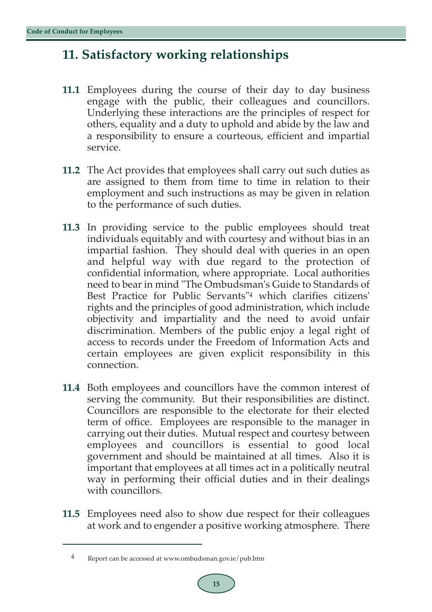### **11. Satisfactory working relationships**

- **11.1** Employees during the course of their day to day business engage with the public, their colleagues and councillors. Underlying these interactions are the principles of respect for others, equality and a duty to uphold and abide by the law and a responsibility to ensure a courteous, efficient and impartial service.
- **11.2** The Act provides that employees shall carry out such duties as are assigned to them from time to time in relation to their employment and such instructions as may be given in relation to the performance of such duties.
- **11.3** In providing service to the public employees should treat individuals equitably and with courtesy and without bias in an impartial fashion. They should deal with queries in an open and helpful way with due regard to the protection of confidential information, where appropriate. Local authorities need to bear in mind "The Ombudsman's Guide to Standards of Best Practice for Public Servants"4 which clarifies citizens' rights and the principles of good administration, which include objectivity and impartiality and the need to avoid unfair discrimination. Members of the public enjoy a legal right of access to records under the Freedom of Information Acts and certain employees are given explicit responsibility in this connection.
- **11.4** Both employees and councillors have the common interest of serving the community. But their responsibilities are distinct. Councillors are responsible to the electorate for their elected term of office. Employees are responsible to the manager in carrying out their duties. Mutual respect and courtesy between employees and councillors is essential to good local government and should be maintained at all times. Also it is important that employees at all times act in a politically neutral way in performing their official duties and in their dealings with councillors.
- **11.5** Employees need also to show due respect for their colleagues at work and to engender a positive working atmosphere. There

<sup>4</sup> Report can be accessed at www.ombudsman.gov.ie/pub.htm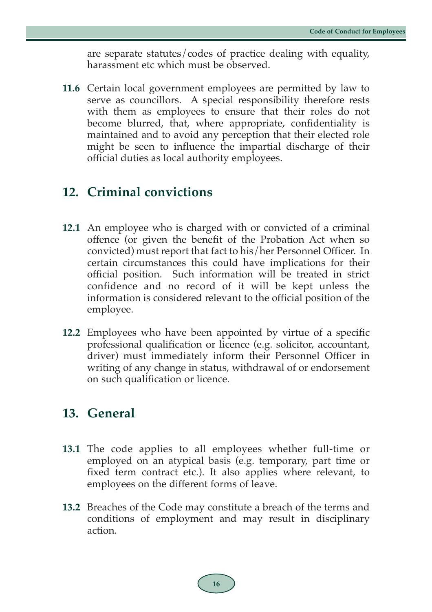are separate statutes/codes of practice dealing with equality, harassment etc which must be observed.

**11.6** Certain local government employees are permitted by law to serve as councillors. A special responsibility therefore rests with them as employees to ensure that their roles do not become blurred, that, where appropriate, confidentiality is maintained and to avoid any perception that their elected role might be seen to influence the impartial discharge of their official duties as local authority employees.

## **12. Criminal convictions**

- **12.1** An employee who is charged with or convicted of a criminal offence (or given the benefit of the Probation Act when so convicted) must report that fact to his/her Personnel Officer. In certain circumstances this could have implications for their official position. Such information will be treated in strict confidence and no record of it will be kept unless the information is considered relevant to the official position of the employee.
- **12.2** Employees who have been appointed by virtue of a specific professional qualification or licence (e.g. solicitor, accountant, driver) must immediately inform their Personnel Officer in writing of any change in status, withdrawal of or endorsement on such qualification or licence.

#### **13. General**

- **13.1** The code applies to all employees whether full-time or employed on an atypical basis (e.g. temporary, part time or fixed term contract etc.). It also applies where relevant, to employees on the different forms of leave.
- **13.2** Breaches of the Code may constitute a breach of the terms and conditions of employment and may result in disciplinary action.